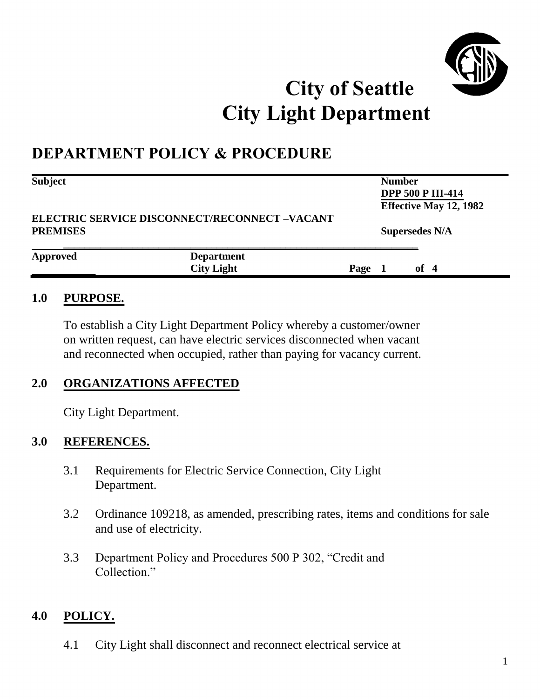

# **City of Seattle City Light Department**

# **DEPARTMENT POLICY & PROCEDURE**

| <b>Subject</b>                                                          | <b>Number</b>     |                                                           |  |                       |  |
|-------------------------------------------------------------------------|-------------------|-----------------------------------------------------------|--|-----------------------|--|
|                                                                         |                   | <b>DPP 500 P III-414</b><br><b>Effective May 12, 1982</b> |  |                       |  |
| <b>ELECTRIC SERVICE DISCONNECT/RECONNECT -VACANT</b><br><b>PREMISES</b> |                   |                                                           |  | <b>Supersedes N/A</b> |  |
| <b>Approved</b>                                                         | <b>Department</b> |                                                           |  |                       |  |
|                                                                         | <b>City Light</b> | Page                                                      |  | of $4$                |  |

#### **1.0 PURPOSE.**

To establish a City Light Department Policy whereby a customer/owner on written request, can have electric services disconnected when vacant and reconnected when occupied, rather than paying for vacancy current.

#### **2.0 ORGANIZATIONS AFFECTED**

City Light Department.

#### **3.0 REFERENCES.**

- 3.1 Requirements for Electric Service Connection, City Light Department.
- 3.2 Ordinance 109218, as amended, prescribing rates, items and conditions for sale and use of electricity.
- 3.3 Department Policy and Procedures 500 P 302, "Credit and Collection."

#### **4.0 POLICY.**

4.1 City Light shall disconnect and reconnect electrical service at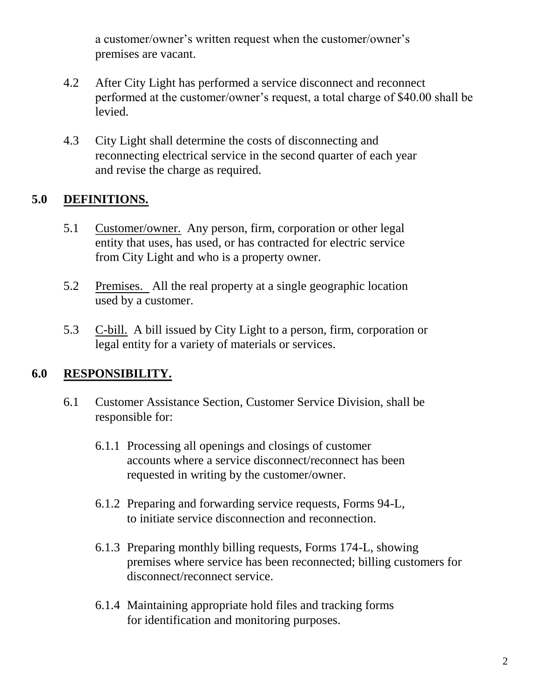a customer/owner's written request when the customer/owner's premises are vacant.

- 4.2 After City Light has performed a service disconnect and reconnect performed at the customer/owner's request, a total charge of \$40.00 shall be levied.
- 4.3 City Light shall determine the costs of disconnecting and reconnecting electrical service in the second quarter of each year and revise the charge as required.

#### **5.0 DEFINITIONS.**

- 5.1 Customer/owner. Any person, firm, corporation or other legal entity that uses, has used, or has contracted for electric service from City Light and who is a property owner.
- 5.2 Premises. All the real property at a single geographic location used by a customer.
- 5.3 C-bill. A bill issued by City Light to a person, firm, corporation or legal entity for a variety of materials or services.

#### **6.0 RESPONSIBILITY.**

- 6.1 Customer Assistance Section, Customer Service Division, shall be responsible for:
	- 6.1.1 Processing all openings and closings of customer accounts where a service disconnect/reconnect has been requested in writing by the customer/owner.
	- 6.1.2 Preparing and forwarding service requests, Forms 94-L, to initiate service disconnection and reconnection.
	- 6.1.3 Preparing monthly billing requests, Forms 174-L, showing premises where service has been reconnected; billing customers for disconnect/reconnect service.
	- 6.1.4 Maintaining appropriate hold files and tracking forms for identification and monitoring purposes.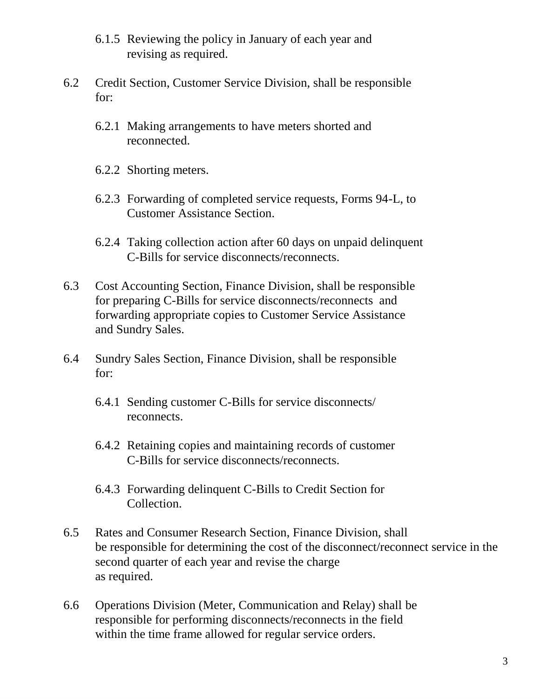- 6.1.5 Reviewing the policy in January of each year and revising as required.
- 6.2 Credit Section, Customer Service Division, shall be responsible for:
	- 6.2.1 Making arrangements to have meters shorted and reconnected.
	- 6.2.2 Shorting meters.
	- 6.2.3 Forwarding of completed service requests, Forms 94-L, to Customer Assistance Section.
	- 6.2.4 Taking collection action after 60 days on unpaid delinquent C-Bills for service disconnects/reconnects.
- 6.3 Cost Accounting Section, Finance Division, shall be responsible for preparing C-Bills for service disconnects/reconnects and forwarding appropriate copies to Customer Service Assistance and Sundry Sales.
- 6.4 Sundry Sales Section, Finance Division, shall be responsible for:
	- 6.4.1 Sending customer C-Bills for service disconnects/ reconnects.
	- 6.4.2 Retaining copies and maintaining records of customer C-Bills for service disconnects/reconnects.
	- 6.4.3 Forwarding delinquent C-Bills to Credit Section for Collection.
- 6.5 Rates and Consumer Research Section, Finance Division, shall be responsible for determining the cost of the disconnect/reconnect service in the second quarter of each year and revise the charge as required.
- 6.6 Operations Division (Meter, Communication and Relay) shall be responsible for performing disconnects/reconnects in the field within the time frame allowed for regular service orders.